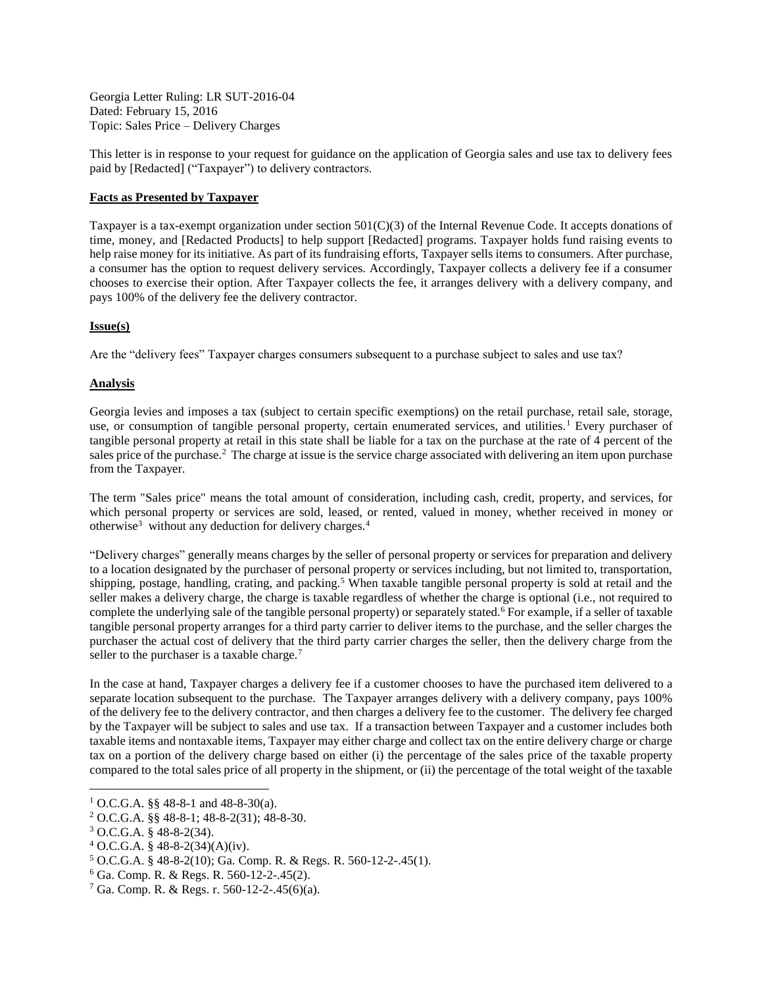Georgia Letter Ruling: LR SUT-2016-04 Dated: February 15, 2016 Topic: Sales Price – Delivery Charges

This letter is in response to your request for guidance on the application of Georgia sales and use tax to delivery fees paid by [Redacted] ("Taxpayer") to delivery contractors.

## **Facts as Presented by Taxpayer**

Taxpayer is a tax-exempt organization under section 501(C)(3) of the Internal Revenue Code. It accepts donations of time, money, and [Redacted Products] to help support [Redacted] programs. Taxpayer holds fund raising events to help raise money for its initiative. As part of its fundraising efforts, Taxpayer sells items to consumers. After purchase, a consumer has the option to request delivery services. Accordingly, Taxpayer collects a delivery fee if a consumer chooses to exercise their option. After Taxpayer collects the fee, it arranges delivery with a delivery company, and pays 100% of the delivery fee the delivery contractor.

## **Issue(s)**

Are the "delivery fees" Taxpayer charges consumers subsequent to a purchase subject to sales and use tax?

# **Analysis**

Georgia levies and imposes a tax (subject to certain specific exemptions) on the retail purchase, retail sale, storage, use, or consumption of tangible personal property, certain enumerated services, and utilities.<sup>1</sup> Every purchaser of tangible personal property at retail in this state shall be liable for a tax on the purchase at the rate of 4 percent of the sales price of the purchase.<sup>2</sup> The charge at issue is the service charge associated with delivering an item upon purchase from the Taxpayer.

The term "Sales price" means the total amount of consideration, including cash, credit, property, and services, for which personal property or services are sold, leased, or rented, valued in money, whether received in money or otherwise<sup>3</sup> without any deduction for delivery charges.<sup>4</sup>

"Delivery charges" generally means charges by the seller of personal property or services for preparation and delivery to a location designated by the purchaser of personal property or services including, but not limited to, transportation, shipping, postage, handling, crating, and packing.<sup>5</sup> When taxable tangible personal property is sold at retail and the seller makes a delivery charge, the charge is taxable regardless of whether the charge is optional (i.e., not required to complete the underlying sale of the tangible personal property) or separately stated.<sup>6</sup> For example, if a seller of taxable tangible personal property arranges for a third party carrier to deliver items to the purchase, and the seller charges the purchaser the actual cost of delivery that the third party carrier charges the seller, then the delivery charge from the seller to the purchaser is a taxable charge. $7$ 

In the case at hand, Taxpayer charges a delivery fee if a customer chooses to have the purchased item delivered to a separate location subsequent to the purchase. The Taxpayer arranges delivery with a delivery company, pays 100% of the delivery fee to the delivery contractor, and then charges a delivery fee to the customer. The delivery fee charged by the Taxpayer will be subject to sales and use tax. If a transaction between Taxpayer and a customer includes both taxable items and nontaxable items, Taxpayer may either charge and collect tax on the entire delivery charge or charge tax on a portion of the delivery charge based on either (i) the percentage of the sales price of the taxable property compared to the total sales price of all property in the shipment, or (ii) the percentage of the total weight of the taxable

 $\overline{a}$ 

<sup>&</sup>lt;sup>1</sup> O.C.G.A. §§ 48-8-1 and 48-8-30(a).

<sup>2</sup> O.C.G.A. §§ 48-8-1; 48-8-2(31); 48-8-30.

<sup>3</sup> O.C.G.A. § 48-8-2(34).

 $4$  O.C.G.A. § 48-8-2(34)(A)(iv).

<sup>5</sup> O.C.G.A. § 48-8-2(10); Ga. Comp. R. & Regs. R. 560-12-2-.45(1).

 $6$  Ga. Comp. R. & Regs. R. 560-12-2-.45(2).

 $7$  Ga. Comp. R. & Regs. r. 560-12-2-.45(6)(a).